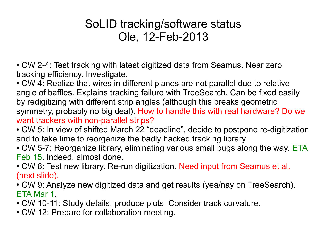## SoLID tracking/software status Ole, 12-Feb-2013

• CW 2-4: Test tracking with latest digitized data from Seamus. Near zero tracking efficiency. Investigate.

• CW 4: Realize that wires in different planes are not parallel due to relative angle of baffles. Explains tracking failure with TreeSearch. Can be fixed easily by redigitizing with different strip angles (although this breaks geometric symmetry, probably no big deal). How to handle this with real hardware? Do we want trackers with non-parallel strips?

- CW 5: In view of shifted March 22 "deadline", decide to postpone re-digitization and to take time to reorganize the badly hacked tracking library.
- CW 5-7: Reorganize library, eliminating various small bugs along the way. ETA Feb 15. Indeed, almost done.
- CW 8: Test new library. Re-run digitization. Need input from Seamus et al. (next slide).
- CW 9: Analyze new digitized data and get results (yea/nay on TreeSearch). ETA Mar 1.
- CW 10-11: Study details, produce plots. Consider track curvature.
- CW 12: Prepare for collaboration meeting.